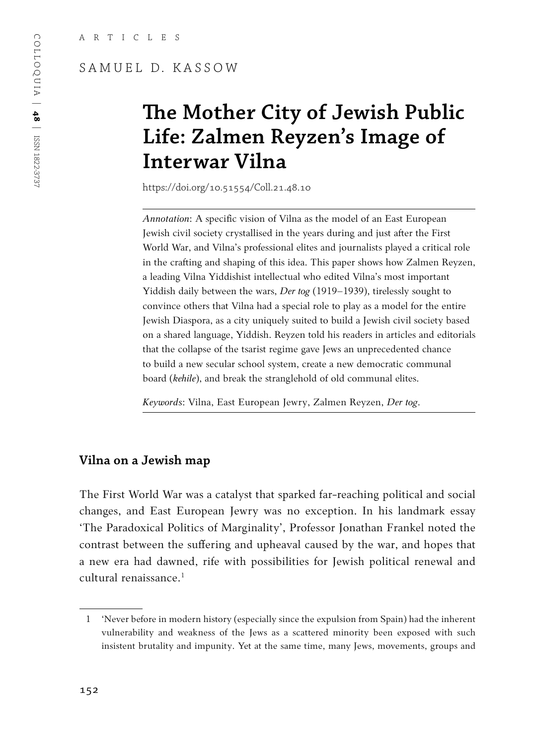#### SAMUEL D. KASSOW

# **The Mother City of Jewish Public Life: Zalmen Reyzen's Image of Interwar Vilna**

https://doi.org/10.51554/Coll.21.48.10

*Annotation*: A specific vision of Vilna as the model of an East European Jewish civil society crystallised in the years during and just after the First World War, and Vilna's professional elites and journalists played a critical role in the crafting and shaping of this idea. This paper shows how Zalmen Reyzen, a leading Vilna Yiddishist intellectual who edited Vilna's most important Yiddish daily between the wars, *Der tog* (1919–1939), tirelessly sought to convince others that Vilna had a special role to play as a model for the entire Jewish Diaspora, as a city uniquely suited to build a Jewish civil society based on a shared language, Yiddish. Reyzen told his readers in articles and editorials that the collapse of the tsarist regime gave Jews an unprecedented chance to build a new secular school system, create a new democratic communal board (*kehile*), and break the stranglehold of old communal elites.

*Keywords*: Vilna, East European Jewry, Zalmen Reyzen, *Der tog*.

#### **Vilna on a Jewish map**

The First World War was a catalyst that sparked far-reaching political and social changes, and East European Jewry was no exception. In his landmark essay 'The Paradoxical Politics of Marginality', Professor Jonathan Frankel noted the contrast between the suffering and upheaval caused by the war, and hopes that a new era had dawned, rife with possibilities for Jewish political renewal and cultural renaissance.<sup>1</sup>

<sup>1</sup> 'Never before in modern history (especially since the expulsion from Spain) had the inherent vulnerability and weakness of the Jews as a scattered minority been exposed with such insistent brutality and impunity. Yet at the same time, many Jews, movements, groups and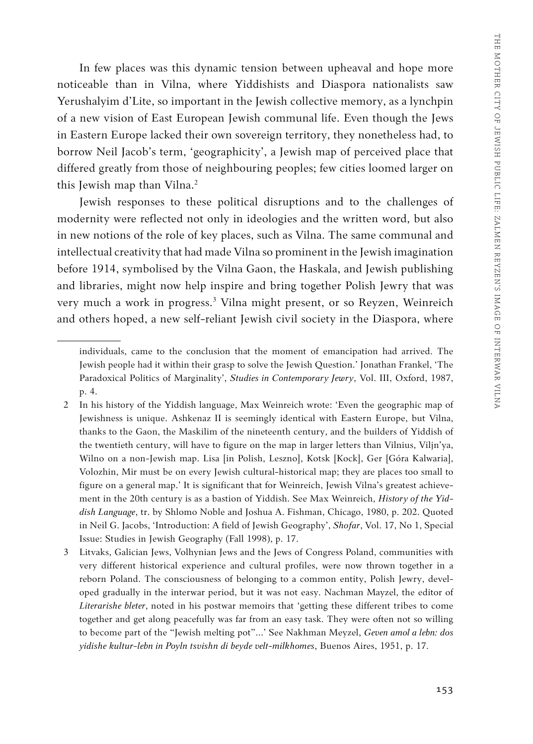In few places was this dynamic tension between upheaval and hope more noticeable than in Vilna, where Yiddishists and Diaspora nationalists saw Yerushalyim d'Lite, so important in the Jewish collective memory, as a lynchpin of a new vision of East European Jewish communal life. Even though the Jews in Eastern Europe lacked their own sovereign territory, they nonetheless had, to borrow Neil Jacob's term, 'geographicity', a Jewish map of perceived place that differed greatly from those of neighbouring peoples; few cities loomed larger on this Jewish map than Vilna.<sup>2</sup>

Jewish responses to these political disruptions and to the challenges of modernity were reflected not only in ideologies and the written word, but also in new notions of the role of key places, such as Vilna. The same communal and intellectual creativity that had made Vilna so prominent in the Jewish imagination before 1914, symbolised by the Vilna Gaon, the Haskala, and Jewish publishing and libraries, might now help inspire and bring together Polish Jewry that was very much a work in progress.3 Vilna might present, or so Reyzen, Weinreich and others hoped, a new self-reliant Jewish civil society in the Diaspora, where

individuals, came to the conclusion that the moment of emancipation had arrived. The Jewish people had it within their grasp to solve the Jewish Question.' Jonathan Frankel, 'The Paradoxical Politics of Marginality', *Studies in Contemporary Jewry*, Vol. III, Oxford, 1987, p. 4.

<sup>2</sup> In his history of the Yiddish language, Max Weinreich wrote: 'Even the geographic map of Jewishness is unique. Ashkenaz II is seemingly identical with Eastern Europe, but Vilna, thanks to the Gaon, the Maskilim of the nineteenth century, and the builders of Yiddish of the twentieth century, will have to figure on the map in larger letters than Vilnius, Viljn'ya, Wilno on a non-Jewish map. Lisa [in Polish, Leszno], Kotsk [Kock], Ger [Góra Kalwaria], Volozhin, Mir must be on every Jewish cultural-historical map; they are places too small to figure on a general map.' It is significant that for Weinreich, Jewish Vilna's greatest achievement in the 20th century is as a bastion of Yiddish. See Max Weinreich, *History of the Yiddish Language*, tr. by Shlomo Noble and Joshua A. Fishman, Chicago, 1980, p. 202. Quoted in Neil G. Jacobs, 'Introduction: A field of Jewish Geography', *Shofar*, Vol. 17, No 1, Special Issue: Studies in Jewish Geography (Fall 1998), p. 17.

<sup>3</sup> Litvaks, Galician Jews, Volhynian Jews and the Jews of Congress Poland, communities with very different historical experience and cultural profiles, were now thrown together in a reborn Poland. The consciousness of belonging to a common entity, Polish Jewry, developed gradually in the interwar period, but it was not easy. Nachman Mayzel, the editor of *Literarishe bleter*, noted in his postwar memoirs that 'getting these different tribes to come together and get along peacefully was far from an easy task. They were often not so willing to become part of the "Jewish melting pot"…' See Nakhman Meyzel, *Geven amol a lebn: dos yidishe kultur-lebn in Poyln tsvishn di beyde velt-milkhomes*, Buenos Aires, 1951, p. 17.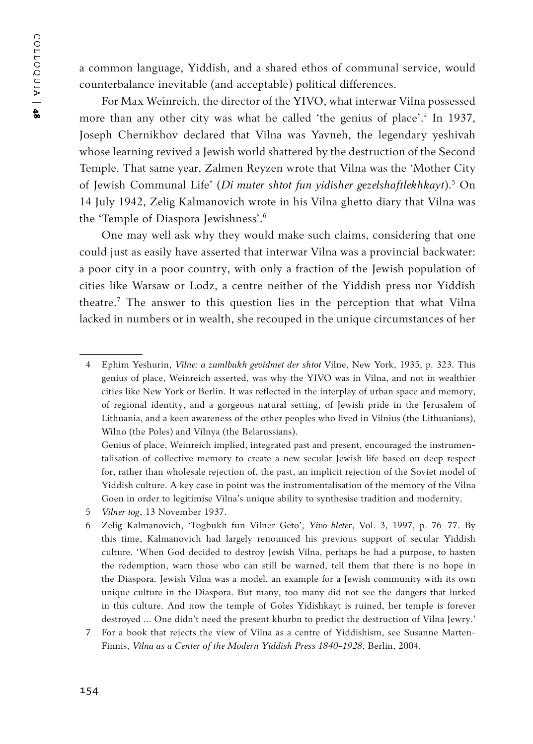a common language, Yiddish, and a shared ethos of communal service, would counterbalance inevitable (and acceptable) political differences.

For Max Weinreich, the director of the YIVO, what interwar Vilna possessed more than any other city was what he called 'the genius of place'.4 In 1937, Joseph Chernikhov declared that Vilna was Yavneh, the legendary yeshivah whose learning revived a Jewish world shattered by the destruction of the Second Temple. That same year, Zalmen Reyzen wrote that Vilna was the 'Mother City of Jewish Communal Life' (*Di muter shtot fun yidisher gezelshaftlekhkayt*).<sup>5</sup> On 14 July 1942, Zelig Kalmanovich wrote in his Vilna ghetto diary that Vilna was the 'Temple of Diaspora Jewishness'.<sup>6</sup>

One may well ask why they would make such claims, considering that one could just as easily have asserted that interwar Vilna was a provincial backwater: a poor city in a poor country, with only a fraction of the Jewish population of cities like Warsaw or Lodz, a centre neither of the Yiddish press nor Yiddish theatre.7 The answer to this question lies in the perception that what Vilna lacked in numbers or in wealth, she recouped in the unique circumstances of her

<sup>4</sup> Ephim Yeshurin, *Vilne: a zamlbukh gevidmet der shtot* Vilne, New York, 1935, p. 323. This genius of place, Weinreich asserted, was why the YIVO was in Vilna, and not in wealthier cities like New York or Berlin. It was reflected in the interplay of urban space and memory, of regional identity, and a gorgeous natural setting, of Jewish pride in the Jerusalem of Lithuania, and a keen awareness of the other peoples who lived in Vilnius (the Lithuanians), Wilno (the Poles) and Vilnya (the Belarussians).

Genius of place, Weinreich implied, integrated past and present, encouraged the instrumentalisation of collective memory to create a new secular Jewish life based on deep respect for, rather than wholesale rejection of, the past, an implicit rejection of the Soviet model of Yiddish culture. A key case in point was the instrumentalisation of the memory of the Vilna Goen in order to legitimise Vilna's unique ability to synthesise tradition and modernity.

<sup>5</sup> *Vilner tog*, 13 November 1937.

<sup>6</sup> Zelig Kalmanovich, 'Togbukh fun Vilner Geto', *Yivo-bleter*, Vol. 3, 1997, p. 76–77. By this time, Kalmanovich had largely renounced his previous support of secular Yiddish culture. 'When God decided to destroy Jewish Vilna, perhaps he had a purpose, to hasten the redemption, warn those who can still be warned, tell them that there is no hope in the Diaspora. Jewish Vilna was a model, an example for a Jewish community with its own unique culture in the Diaspora. But many, too many did not see the dangers that lurked in this culture. And now the temple of Goles Yidishkayt is ruined, her temple is forever destroyed … One didn't need the present khurbn to predict the destruction of Vilna Jewry.'

<sup>7</sup> For a book that rejects the view of Vilna as a centre of Yiddishism, see Susanne Marten-Finnis, *Vilna as a Center of the Modern Yiddish Press 1840-1928*, Berlin, 2004.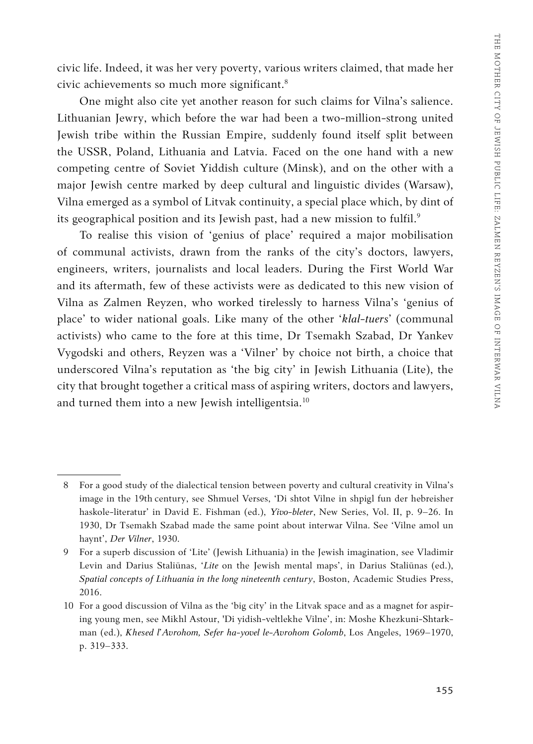civic life. Indeed, it was her very poverty, various writers claimed, that made her civic achievements so much more significant.8

One might also cite yet another reason for such claims for Vilna's salience. Lithuanian Jewry, which before the war had been a two-million-strong united Jewish tribe within the Russian Empire, suddenly found itself split between the USSR, Poland, Lithuania and Latvia. Faced on the one hand with a new competing centre of Soviet Yiddish culture (Minsk), and on the other with a major Jewish centre marked by deep cultural and linguistic divides (Warsaw), Vilna emerged as a symbol of Litvak continuity, a special place which, by dint of its geographical position and its Jewish past, had a new mission to fulfil.<sup>9</sup>

To realise this vision of 'genius of place' required a major mobilisation of communal activists, drawn from the ranks of the city's doctors, lawyers, engineers, writers, journalists and local leaders. During the First World War and its aftermath, few of these activists were as dedicated to this new vision of Vilna as Zalmen Reyzen, who worked tirelessly to harness Vilna's 'genius of place' to wider national goals. Like many of the other '*klal-tuers*' (communal activists) who came to the fore at this time, Dr Tsemakh Szabad, Dr Yankev Vygodski and others, Reyzen was a 'Vilner' by choice not birth, a choice that underscored Vilna's reputation as 'the big city' in Jewish Lithuania (Lite), the city that brought together a critical mass of aspiring writers, doctors and lawyers, and turned them into a new Jewish intelligentsia.<sup>10</sup>

<sup>8</sup> For a good study of the dialectical tension between poverty and cultural creativity in Vilna's image in the 19th century, see Shmuel Verses, 'Di shtot Vilne in shpigl fun der hebreisher haskole-literatur' in David E. Fishman (ed.), *Yivo-bleter*, New Series, Vol. II, p. 9–26. In 1930, Dr Tsemakh Szabad made the same point about interwar Vilna. See 'Vilne amol un haynt', *Der Vilner*, 1930.

<sup>9</sup> For a superb discussion of 'Lite' (Jewish Lithuania) in the Jewish imagination, see Vladimir Levin and Darius Staliūnas, '*Lite* on the Jewish mental maps', in Darius Staliūnas (ed.), *Spatial concepts of Lithuania in the long nineteenth century*, Boston, Academic Studies Press, 2016.

<sup>10</sup> For a good discussion of Vilna as the 'big city' in the Litvak space and as a magnet for aspiring young men, see Mikhl Astour, 'Di yidish-veltlekhe Vilne', in: Moshe Khezkuni-Shtarkman (ed.), *Khesed l'Avrohom, Sefer ha-yovel le-Avrohom Golomb*, Los Angeles, 1969–1970, p. 319–333.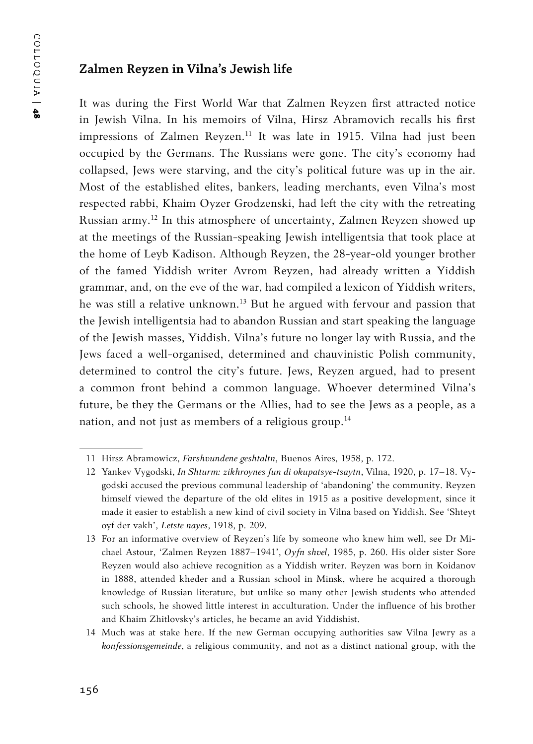#### **Zalmen Reyzen in Vilna's Jewish life**

It was during the First World War that Zalmen Reyzen first attracted notice in Jewish Vilna. In his memoirs of Vilna, Hirsz Abramovich recalls his first impressions of Zalmen Reyzen.<sup>11</sup> It was late in 1915. Vilna had just been occupied by the Germans. The Russians were gone. The city's economy had collapsed, Jews were starving, and the city's political future was up in the air. Most of the established elites, bankers, leading merchants, even Vilna's most respected rabbi, Khaim Oyzer Grodzenski, had left the city with the retreating Russian army.12 In this atmosphere of uncertainty, Zalmen Reyzen showed up at the meetings of the Russian-speaking Jewish intelligentsia that took place at the home of Leyb Kadison. Although Reyzen, the 28-year-old younger brother of the famed Yiddish writer Avrom Reyzen, had already written a Yiddish grammar, and, on the eve of the war, had compiled a lexicon of Yiddish writers, he was still a relative unknown.<sup>13</sup> But he argued with fervour and passion that the Jewish intelligentsia had to abandon Russian and start speaking the language of the Jewish masses, Yiddish. Vilna's future no longer lay with Russia, and the Jews faced a well-organised, determined and chauvinistic Polish community, determined to control the city's future. Jews, Reyzen argued, had to present a common front behind a common language. Whoever determined Vilna's future, be they the Germans or the Allies, had to see the Jews as a people, as a nation, and not just as members of a religious group.<sup>14</sup>

<sup>11</sup> Hirsz Abramowicz, *Farshvundene geshtaltn*, Buenos Aires, 1958, p. 172.

<sup>12</sup> Yankev Vygodski, *In Shturm: zikhroynes fun di okupatsye-tsaytn*, Vilna, 1920, p. 17–18. Vygodski accused the previous communal leadership of 'abandoning' the community. Reyzen himself viewed the departure of the old elites in 1915 as a positive development, since it made it easier to establish a new kind of civil society in Vilna based on Yiddish. See 'Shteyt oyf der vakh', *Letste nayes*, 1918, p. 209.

<sup>13</sup> For an informative overview of Reyzen's life by someone who knew him well, see Dr Michael Astour, 'Zalmen Reyzen 1887–1941', *Oyfn shvel*, 1985, p. 260. His older sister Sore Reyzen would also achieve recognition as a Yiddish writer. Reyzen was born in Koidanov in 1888, attended kheder and a Russian school in Minsk, where he acquired a thorough knowledge of Russian literature, but unlike so many other Jewish students who attended such schools, he showed little interest in acculturation. Under the influence of his brother and Khaim Zhitlovsky's articles, he became an avid Yiddishist.

<sup>14</sup> Much was at stake here. If the new German occupying authorities saw Vilna Jewry as a *konfessionsgemeinde*, a religious community, and not as a distinct national group, with the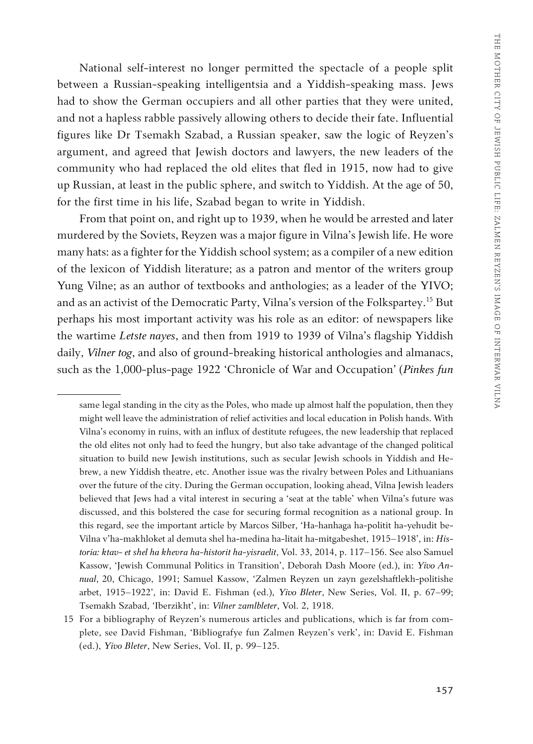National self-interest no longer permitted the spectacle of a people split between a Russian-speaking intelligentsia and a Yiddish-speaking mass. Jews had to show the German occupiers and all other parties that they were united, and not a hapless rabble passively allowing others to decide their fate. Influential figures like Dr Tsemakh Szabad, a Russian speaker, saw the logic of Reyzen's argument, and agreed that Jewish doctors and lawyers, the new leaders of the community who had replaced the old elites that fled in 1915, now had to give up Russian, at least in the public sphere, and switch to Yiddish. At the age of 50, for the first time in his life, Szabad began to write in Yiddish.

From that point on, and right up to 1939, when he would be arrested and later murdered by the Soviets, Reyzen was a major figure in Vilna's Jewish life. He wore many hats: as a fighter for the Yiddish school system; as a compiler of a new edition of the lexicon of Yiddish literature; as a patron and mentor of the writers group Yung Vilne; as an author of textbooks and anthologies; as a leader of the YIVO; and as an activist of the Democratic Party, Vilna's version of the Folkspartey.15 But perhaps his most important activity was his role as an editor: of newspapers like the wartime *Letste nayes*, and then from 1919 to 1939 of Vilna's flagship Yiddish daily, *Vilner tog*, and also of ground-breaking historical anthologies and almanacs, such as the 1,000-plus-page 1922 'Chronicle of War and Occupation' (*Pinkes fun* 

same legal standing in the city as the Poles, who made up almost half the population, then they might well leave the administration of relief activities and local education in Polish hands. With Vilna's economy in ruins, with an influx of destitute refugees, the new leadership that replaced the old elites not only had to feed the hungry, but also take advantage of the changed political situation to build new Jewish institutions, such as secular Jewish schools in Yiddish and Hebrew, a new Yiddish theatre, etc. Another issue was the rivalry between Poles and Lithuanians over the future of the city. During the German occupation, looking ahead, Vilna Jewish leaders believed that Jews had a vital interest in securing a 'seat at the table' when Vilna's future was discussed, and this bolstered the case for securing formal recognition as a national group. In this regard, see the important article by Marcos Silber, 'Ha-hanhaga ha-politit ha-yehudit be-Vilna v'ha-makhloket al demuta shel ha-medina ha-litait ha-mitgabeshet, 1915–1918', in: *Historia: ktav- et shel ha khevra ha-historit ha-yisraelit*, Vol. 33, 2014, p. 117–156. See also Samuel Kassow, 'Jewish Communal Politics in Transition', Deborah Dash Moore (ed.), in: *Yivo Annual*, 20, Chicago, 1991; Samuel Kassow, 'Zalmen Reyzen un zayn gezelshaftlekh-politishe arbet, 1915–1922', in: David E. Fishman (ed.), *Yivo Bleter*, New Series, Vol. II, p. 67–99; Tsemakh Szabad, 'Iberzikht', in: *Vilner zamlbleter*, Vol. 2, 1918.

<sup>15</sup> For a bibliography of Reyzen's numerous articles and publications, which is far from complete, see David Fishman, 'Bibliografye fun Zalmen Reyzen's verk', in: David E. Fishman (ed.), *Yivo Bleter*, New Series, Vol. II, p. 99–125.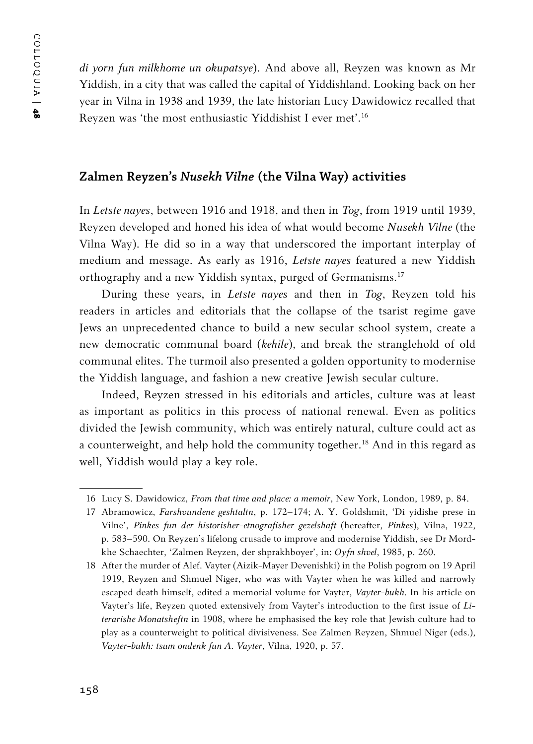*di yorn fun milkhome un okupatsye*). And above all, Reyzen was known as Mr Yiddish, in a city that was called the capital of Yiddishland. Looking back on her year in Vilna in 1938 and 1939, the late historian Lucy Dawidowicz recalled that Reyzen was 'the most enthusiastic Yiddishist I ever met'.16

#### **Zalmen Reyzen's** *Nusekh Vilne* **(the Vilna Way) activities**

In *Letste nayes*, between 1916 and 1918, and then in *Tog*, from 1919 until 1939, Reyzen developed and honed his idea of what would become *Nusekh Vilne* (the Vilna Way). He did so in a way that underscored the important interplay of medium and message. As early as 1916, *Letste nayes* featured a new Yiddish orthography and a new Yiddish syntax, purged of Germanisms.17

During these years, in *Letste nayes* and then in *Tog*, Reyzen told his readers in articles and editorials that the collapse of the tsarist regime gave Jews an unprecedented chance to build a new secular school system, create a new democratic communal board (*kehile*), and break the stranglehold of old communal elites. The turmoil also presented a golden opportunity to modernise the Yiddish language, and fashion a new creative Jewish secular culture.

Indeed, Reyzen stressed in his editorials and articles, culture was at least as important as politics in this process of national renewal. Even as politics divided the Jewish community, which was entirely natural, culture could act as a counterweight, and help hold the community together.<sup>18</sup> And in this regard as well, Yiddish would play a key role.

<sup>16</sup> Lucy S. Dawidowicz, *From that time and place: a memoir*, New York, London, 1989, p. 84.

<sup>17</sup> Abramowicz, *Farshvundene geshtaltn*, p. 172–174; A. Y. Goldshmit, 'Di yidishe prese in Vilne', *Pinkes fun der historisher-etnografisher gezelshaft* (hereafter, *Pinkes*), Vilna, 1922, p. 583–590. On Reyzen's lifelong crusade to improve and modernise Yiddish, see Dr Mordkhe Schaechter, 'Zalmen Reyzen, der shprakhboyer', in: *Oyfn shvel*, 1985, p. 260.

<sup>18</sup> After the murder of Alef. Vayter (Aizik-Mayer Devenishki) in the Polish pogrom on 19 April 1919, Reyzen and Shmuel Niger, who was with Vayter when he was killed and narrowly escaped death himself, edited a memorial volume for Vayter, *Vayter-bukh.* In his article on Vayter's life, Reyzen quoted extensively from Vayter's introduction to the first issue of *Literarishe Monatsheftn* in 1908, where he emphasised the key role that Jewish culture had to play as a counterweight to political divisiveness. See Zalmen Reyzen, Shmuel Niger (eds.), *Vayter-bukh: tsum ondenk fun A. Vayter*, Vilna, 1920, p. 57.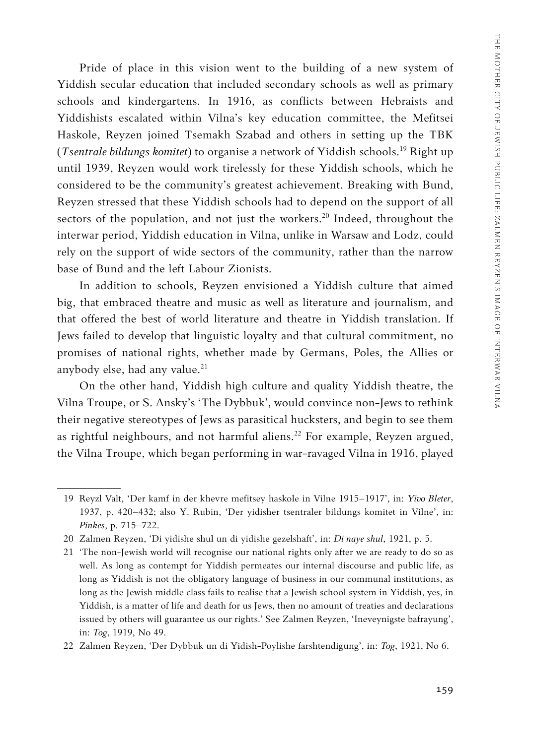Pride of place in this vision went to the building of a new system of Yiddish secular education that included secondary schools as well as primary schools and kindergartens. In 1916, as conflicts between Hebraists and Yiddishists escalated within Vilna's key education committee, the Mefitsei Haskole, Reyzen joined Tsemakh Szabad and others in setting up the TBK (*Tsentrale bildungs komitet*) to organise a network of Yiddish schools.19 Right up until 1939, Reyzen would work tirelessly for these Yiddish schools, which he considered to be the community's greatest achievement. Breaking with Bund, Reyzen stressed that these Yiddish schools had to depend on the support of all sectors of the population, and not just the workers.<sup>20</sup> Indeed, throughout the interwar period, Yiddish education in Vilna, unlike in Warsaw and Lodz, could rely on the support of wide sectors of the community, rather than the narrow base of Bund and the left Labour Zionists.

In addition to schools, Reyzen envisioned a Yiddish culture that aimed big, that embraced theatre and music as well as literature and journalism, and that offered the best of world literature and theatre in Yiddish translation. If Jews failed to develop that linguistic loyalty and that cultural commitment, no promises of national rights, whether made by Germans, Poles, the Allies or anybody else, had any value. $21$ 

On the other hand, Yiddish high culture and quality Yiddish theatre, the Vilna Troupe, or S. Ansky's 'The Dybbuk', would convince non-Jews to rethink their negative stereotypes of Jews as parasitical hucksters, and begin to see them as rightful neighbours, and not harmful aliens.<sup>22</sup> For example, Reyzen argued, the Vilna Troupe, which began performing in war-ravaged Vilna in 1916, played

22 Zalmen Reyzen, 'Der Dybbuk un di Yidish-Poylishe farshtendigung', in: *Tog*, 1921, No 6.

<sup>19</sup> Reyzl Valt, 'Der kamf in der khevre mefitsey haskole in Vilne 1915–1917', in: *Yivo Bleter*, 1937, p. 420–432; also Y. Rubin, 'Der yidisher tsentraler bildungs komitet in Vilne', in: *Pinkes*, p. 715–722.

<sup>20</sup> Zalmen Reyzen, 'Di yidishe shul un di yidishe gezelshaft', in: *Di naye shul*, 1921, p. 5.

<sup>21</sup> 'The non-Jewish world will recognise our national rights only after we are ready to do so as well. As long as contempt for Yiddish permeates our internal discourse and public life, as long as Yiddish is not the obligatory language of business in our communal institutions, as long as the Jewish middle class fails to realise that a Jewish school system in Yiddish, yes, in Yiddish, is a matter of life and death for us Jews, then no amount of treaties and declarations issued by others will guarantee us our rights.' See Zalmen Reyzen, 'Ineveynigste bafrayung', in: *Tog*, 1919, No 49.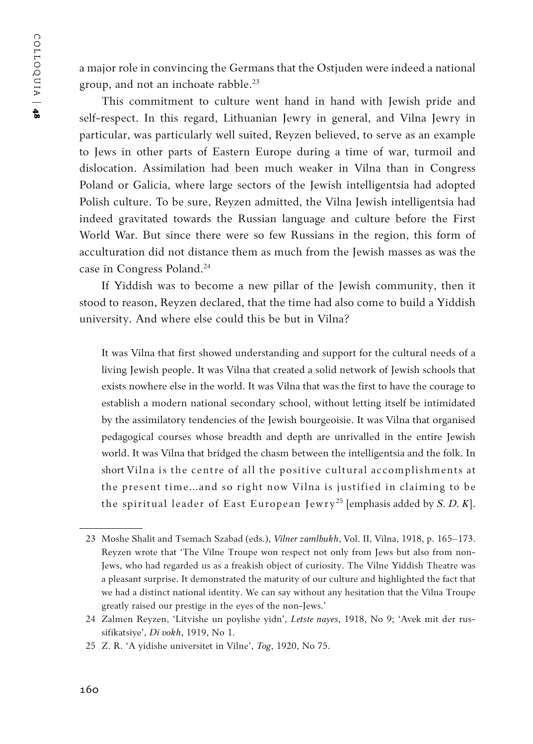a major role in convincing the Germans that the Ostjuden were indeed a national group, and not an inchoate rabble.<sup>23</sup>

This commitment to culture went hand in hand with Jewish pride and self-respect. In this regard, Lithuanian Jewry in general, and Vilna Jewry in particular, was particularly well suited, Reyzen believed, to serve as an example to Jews in other parts of Eastern Europe during a time of war, turmoil and dislocation. Assimilation had been much weaker in Vilna than in Congress Poland or Galicia, where large sectors of the Jewish intelligentsia had adopted Polish culture. To be sure, Reyzen admitted, the Vilna Jewish intelligentsia had indeed gravitated towards the Russian language and culture before the First World War. But since there were so few Russians in the region, this form of acculturation did not distance them as much from the Jewish masses as was the case in Congress Poland.24

If Yiddish was to become a new pillar of the Jewish community, then it stood to reason, Reyzen declared, that the time had also come to build a Yiddish university. And where else could this be but in Vilna?

It was Vilna that first showed understanding and support for the cultural needs of a living Jewish people. It was Vilna that created a solid network of Jewish schools that exists nowhere else in the world. It was Vilna that was the first to have the courage to establish a modern national secondary school, without letting itself be intimidated by the assimilatory tendencies of the Jewish bourgeoisie. It was Vilna that organised pedagogical courses whose breadth and depth are unrivalled in the entire Jewish world. It was Vilna that bridged the chasm between the intelligentsia and the folk. In short Vilna is the centre of all the positive cultural accomplishments at the present time…and so right now Vilna is justified in claiming to be the spiritual leader of East European Jewry 25 [emphasis added by *S. D. K*].

<sup>23</sup> Moshe Shalit and Tsemach Szabad (eds.), *Vilner zamlbukh*, Vol. II, Vilna, 1918, p. 165–173. Reyzen wrote that 'The Vilne Troupe won respect not only from Jews but also from non-Jews, who had regarded us as a freakish object of curiosity. The Vilne Yiddish Theatre was a pleasant surprise. It demonstrated the maturity of our culture and highlighted the fact that we had a distinct national identity. We can say without any hesitation that the Vilna Troupe greatly raised our prestige in the eyes of the non-Jews.'

<sup>24</sup> Zalmen Reyzen, 'Litvishe un poylishe yidn', *Letste nayes*, 1918, No 9; 'Avek mit der russifikatsiye', *Di vokh*, 1919, No 1.

<sup>25</sup> Z. R. 'A yidishe universitet in Vilne', *Tog*, 1920, No 75.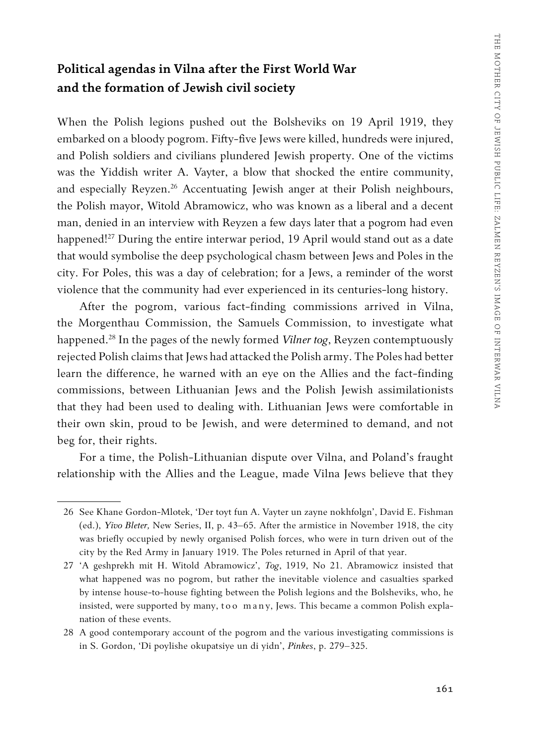### **Political agendas in Vilna after the First World War and the formation of Jewish civil society**

When the Polish legions pushed out the Bolsheviks on 19 April 1919, they embarked on a bloody pogrom. Fifty-five Jews were killed, hundreds were injured, and Polish soldiers and civilians plundered Jewish property. One of the victims was the Yiddish writer A. Vayter, a blow that shocked the entire community, and especially Reyzen.<sup>26</sup> Accentuating Jewish anger at their Polish neighbours, the Polish mayor, Witold Abramowicz, who was known as a liberal and a decent man, denied in an interview with Reyzen a few days later that a pogrom had even happened!<sup>27</sup> During the entire interwar period, 19 April would stand out as a date that would symbolise the deep psychological chasm between Jews and Poles in the city. For Poles, this was a day of celebration; for a Jews, a reminder of the worst violence that the community had ever experienced in its centuries-long history.

After the pogrom, various fact-finding commissions arrived in Vilna, the Morgenthau Commission, the Samuels Commission, to investigate what happened.28 In the pages of the newly formed *Vilner tog*, Reyzen contemptuously rejected Polish claims that Jews had attacked the Polish army. The Poles had better learn the difference, he warned with an eye on the Allies and the fact-finding commissions, between Lithuanian Jews and the Polish Jewish assimilationists that they had been used to dealing with. Lithuanian Jews were comfortable in their own skin, proud to be Jewish, and were determined to demand, and not beg for, their rights.

For a time, the Polish-Lithuanian dispute over Vilna, and Poland's fraught relationship with the Allies and the League, made Vilna Jews believe that they

<sup>26</sup> See Khane Gordon-Mlotek, 'Der toyt fun A. Vayter un zayne nokhfolgn', David E. Fishman (ed.), *Yivo Bleter,* New Series, II, p. 43–65. After the armistice in November 1918, the city was briefly occupied by newly organised Polish forces, who were in turn driven out of the city by the Red Army in January 1919. The Poles returned in April of that year.

<sup>27</sup> 'A geshprekh mit H. Witold Abramowicz', *Tog*, 1919, No 21. Abramowicz insisted that what happened was no pogrom, but rather the inevitable violence and casualties sparked by intense house-to-house fighting between the Polish legions and the Bolsheviks, who, he insisted, were supported by many, to o many, Jews. This became a common Polish explanation of these events.

<sup>28</sup> A good contemporary account of the pogrom and the various investigating commissions is in S. Gordon, 'Di poylishe okupatsiye un di yidn', *Pinkes*, p. 279–325.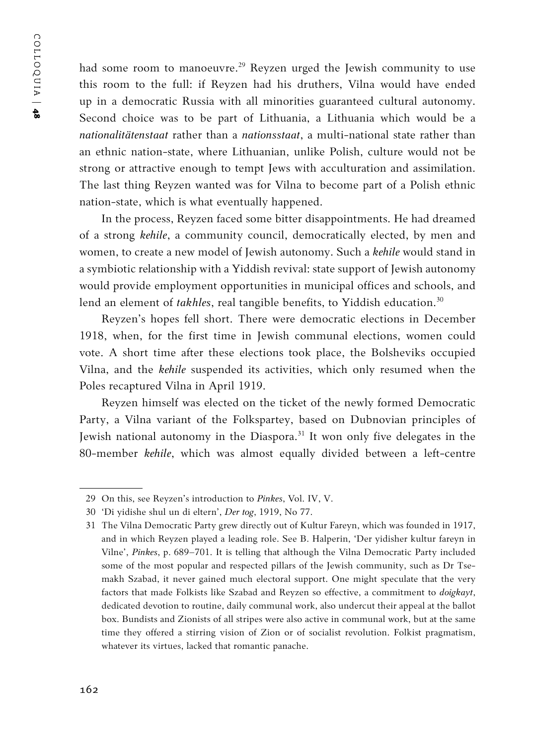COLLOQUIA | COLLOQUIA | 48

had some room to manoeuvre.<sup>29</sup> Reyzen urged the Jewish community to use this room to the full: if Reyzen had his druthers, Vilna would have ended up in a democratic Russia with all minorities guaranteed cultural autonomy. Second choice was to be part of Lithuania, a Lithuania which would be a *nationalitätenstaat* rather than a *nationsstaat*, a multi-national state rather than an ethnic nation-state, where Lithuanian, unlike Polish, culture would not be strong or attractive enough to tempt Jews with acculturation and assimilation. The last thing Reyzen wanted was for Vilna to become part of a Polish ethnic nation-state, which is what eventually happened.

In the process, Reyzen faced some bitter disappointments. He had dreamed of a strong *kehile*, a community council, democratically elected, by men and women, to create a new model of Jewish autonomy. Such a *kehile* would stand in a symbiotic relationship with a Yiddish revival: state support of Jewish autonomy would provide employment opportunities in municipal offices and schools, and lend an element of *takhles*, real tangible benefits, to Yiddish education.<sup>30</sup>

Reyzen's hopes fell short. There were democratic elections in December 1918, when, for the first time in Jewish communal elections, women could vote. A short time after these elections took place, the Bolsheviks occupied Vilna, and the *kehile* suspended its activities, which only resumed when the Poles recaptured Vilna in April 1919.

Reyzen himself was elected on the ticket of the newly formed Democratic Party, a Vilna variant of the Folkspartey, based on Dubnovian principles of Jewish national autonomy in the Diaspora.<sup>31</sup> It won only five delegates in the 80-member *kehile*, which was almost equally divided between a left-centre

<sup>29</sup> On this, see Reyzen's introduction to *Pinkes*, Vol. IV, V.

<sup>30</sup> 'Di yidishe shul un di eltern', *Der tog*, 1919, No 77.

<sup>31</sup> The Vilna Democratic Party grew directly out of Kultur Fareyn, which was founded in 1917, and in which Reyzen played a leading role. See B. Halperin, 'Der yidisher kultur fareyn in Vilne', *Pinkes*, p. 689–701. It is telling that although the Vilna Democratic Party included some of the most popular and respected pillars of the Jewish community, such as Dr Tsemakh Szabad, it never gained much electoral support. One might speculate that the very factors that made Folkists like Szabad and Reyzen so effective, a commitment to *doigkayt*, dedicated devotion to routine, daily communal work, also undercut their appeal at the ballot box. Bundists and Zionists of all stripes were also active in communal work, but at the same time they offered a stirring vision of Zion or of socialist revolution. Folkist pragmatism, whatever its virtues, lacked that romantic panache.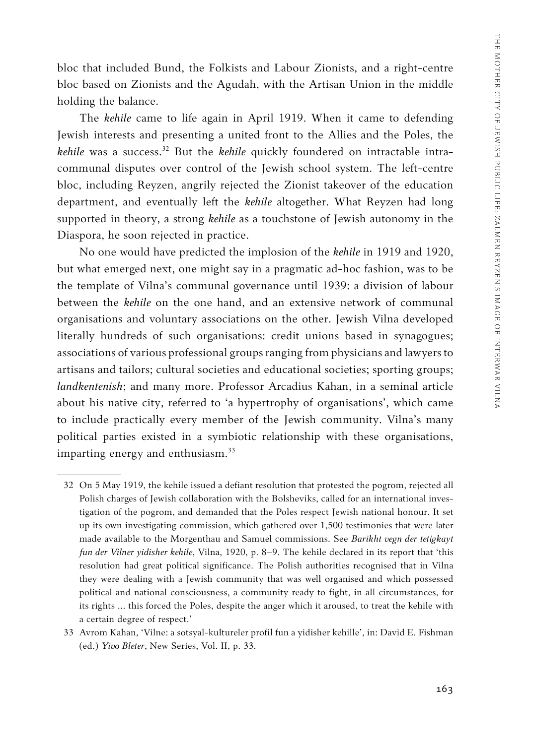bloc that included Bund, the Folkists and Labour Zionists, and a right-centre bloc based on Zionists and the Agudah, with the Artisan Union in the middle holding the balance.

The *kehile* came to life again in April 1919. When it came to defending Jewish interests and presenting a united front to the Allies and the Poles, the *kehile* was a success.<sup>32</sup> But the *kehile* quickly foundered on intractable intracommunal disputes over control of the Jewish school system. The left-centre bloc, including Reyzen, angrily rejected the Zionist takeover of the education department, and eventually left the *kehile* altogether. What Reyzen had long supported in theory, a strong *kehile* as a touchstone of Jewish autonomy in the Diaspora, he soon rejected in practice.

No one would have predicted the implosion of the *kehile* in 1919 and 1920, but what emerged next, one might say in a pragmatic ad-hoc fashion, was to be the template of Vilna's communal governance until 1939: a division of labour between the *kehile* on the one hand, and an extensive network of communal organisations and voluntary associations on the other. Jewish Vilna developed literally hundreds of such organisations: credit unions based in synagogues; associations of various professional groups ranging from physicians and lawyers to artisans and tailors; cultural societies and educational societies; sporting groups; *landkentenish*; and many more. Professor Arcadius Kahan, in a seminal article about his native city, referred to 'a hypertrophy of organisations', which came to include practically every member of the Jewish community. Vilna's many political parties existed in a symbiotic relationship with these organisations, imparting energy and enthusiasm.<sup>33</sup>

<sup>32</sup> On 5 May 1919, the kehile issued a defiant resolution that protested the pogrom, rejected all Polish charges of Jewish collaboration with the Bolsheviks, called for an international investigation of the pogrom, and demanded that the Poles respect Jewish national honour. It set up its own investigating commission, which gathered over 1,500 testimonies that were later made available to the Morgenthau and Samuel commissions. See *Barikht vegn der tetigkayt fun der Vilner yidisher kehile*, Vilna, 1920, p. 8–9. The kehile declared in its report that 'this resolution had great political significance. The Polish authorities recognised that in Vilna they were dealing with a Jewish community that was well organised and which possessed political and national consciousness, a community ready to fight, in all circumstances, for its rights … this forced the Poles, despite the anger which it aroused, to treat the kehile with a certain degree of respect.'

<sup>33</sup> Avrom Kahan, 'Vilne: a sotsyal-kultureler profil fun a yidisher kehille', in: David E. Fishman (ed.) *Yivo Bleter*, New Series, Vol. II, p. 33.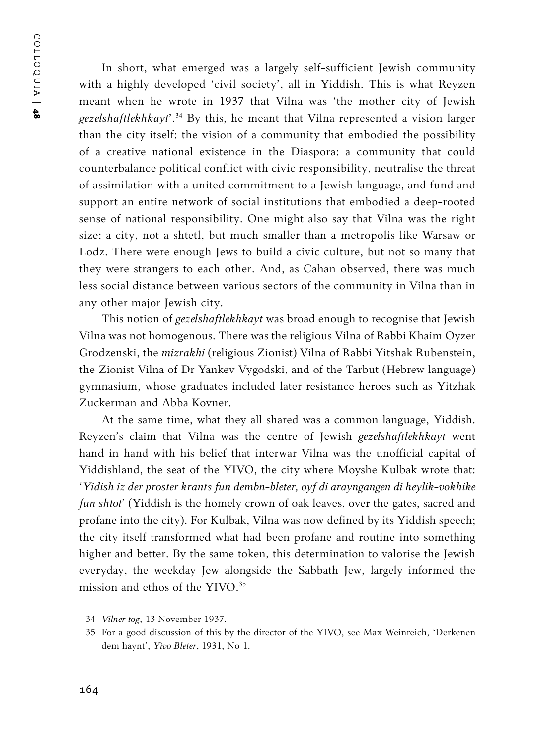COLLOQUIA | COLLOQUIA | 48

In short, what emerged was a largely self-sufficient Jewish community with a highly developed 'civil society', all in Yiddish. This is what Reyzen meant when he wrote in 1937 that Vilna was 'the mother city of Jewish *gezelshaftlekhkayt*'.34 By this, he meant that Vilna represented a vision larger than the city itself: the vision of a community that embodied the possibility of a creative national existence in the Diaspora: a community that could counterbalance political conflict with civic responsibility, neutralise the threat of assimilation with a united commitment to a Jewish language, and fund and support an entire network of social institutions that embodied a deep-rooted sense of national responsibility. One might also say that Vilna was the right size: a city, not a shtetl, but much smaller than a metropolis like Warsaw or Lodz. There were enough Jews to build a civic culture, but not so many that they were strangers to each other. And, as Cahan observed, there was much less social distance between various sectors of the community in Vilna than in any other major Jewish city.

This notion of *gezelshaftlekhkayt* was broad enough to recognise that Jewish Vilna was not homogenous. There was the religious Vilna of Rabbi Khaim Oyzer Grodzenski, the *mizrakhi* (religious Zionist) Vilna of Rabbi Yitshak Rubenstein, the Zionist Vilna of Dr Yankev Vygodski, and of the Tarbut (Hebrew language) gymnasium, whose graduates included later resistance heroes such as Yitzhak Zuckerman and Abba Kovner.

At the same time, what they all shared was a common language, Yiddish. Reyzen's claim that Vilna was the centre of Jewish *gezelshaftlekhkayt* went hand in hand with his belief that interwar Vilna was the unofficial capital of Yiddishland, the seat of the YIVO, the city where Moyshe Kulbak wrote that: '*Yidish iz der proster krants fun dembn-bleter, oyf di arayngangen di heylik-vokhike fun shtot*' (Yiddish is the homely crown of oak leaves, over the gates, sacred and profane into the city). For Kulbak, Vilna was now defined by its Yiddish speech; the city itself transformed what had been profane and routine into something higher and better. By the same token, this determination to valorise the Jewish everyday, the weekday Jew alongside the Sabbath Jew, largely informed the mission and ethos of the YIVO.<sup>35</sup>

<sup>34</sup> *Vilner tog*, 13 November 1937.

<sup>35</sup> For a good discussion of this by the director of the YIVO, see Max Weinreich, 'Derkenen dem haynt', *Yivo Bleter*, 1931, No 1.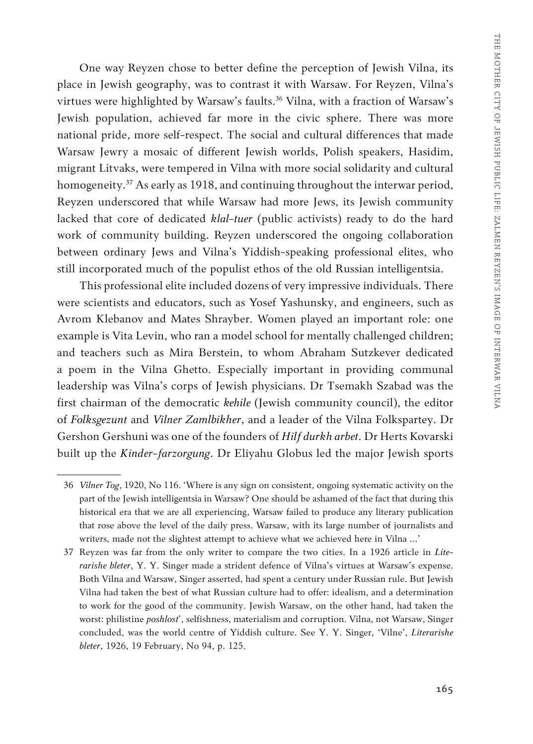One way Reyzen chose to better define the perception of Jewish Vilna, its place in Jewish geography, was to contrast it with Warsaw. For Reyzen, Vilna's virtues were highlighted by Warsaw's faults.<sup>36</sup> Vilna, with a fraction of Warsaw's Jewish population, achieved far more in the civic sphere. There was more national pride, more self-respect. The social and cultural differences that made Warsaw Jewry a mosaic of different Jewish worlds, Polish speakers, Hasidim, migrant Litvaks, were tempered in Vilna with more social solidarity and cultural homogeneity.<sup>37</sup> As early as 1918, and continuing throughout the interwar period, Reyzen underscored that while Warsaw had more Jews, its Jewish community lacked that core of dedicated *klal-tuer* (public activists) ready to do the hard work of community building. Reyzen underscored the ongoing collaboration between ordinary Jews and Vilna's Yiddish-speaking professional elites, who still incorporated much of the populist ethos of the old Russian intelligentsia.

This professional elite included dozens of very impressive individuals. There were scientists and educators, such as Yosef Yashunsky, and engineers, such as Avrom Klebanov and Mates Shrayber. Women played an important role: one example is Vita Levin, who ran a model school for mentally challenged children; and teachers such as Mira Berstein, to whom Abraham Sutzkever dedicated a poem in the Vilna Ghetto. Especially important in providing communal leadership was Vilna's corps of Jewish physicians. Dr Tsemakh Szabad was the first chairman of the democratic *kehile* (Jewish community council), the editor of *Folksgezunt* and *Vilner Zamlbikher*, and a leader of the Vilna Folkspartey. Dr Gershon Gershuni was one of the founders of *Hilf durkh arbet*. Dr Herts Kovarski built up the *Kinder-farzorgung*. Dr Eliyahu Globus led the major Jewish sports

<sup>36</sup> *Vilner Tog*, 1920, No 116. 'Where is any sign on consistent, ongoing systematic activity on the part of the Jewish intelligentsia in Warsaw? One should be ashamed of the fact that during this historical era that we are all experiencing, Warsaw failed to produce any literary publication that rose above the level of the daily press. Warsaw, with its large number of journalists and writers, made not the slightest attempt to achieve what we achieved here in Vilna …'

<sup>37</sup> Reyzen was far from the only writer to compare the two cities. In a 1926 article in *Literarishe bleter*, Y. Y. Singer made a strident defence of Vilna's virtues at Warsaw's expense. Both Vilna and Warsaw, Singer asserted, had spent a century under Russian rule. But Jewish Vilna had taken the best of what Russian culture had to offer: idealism, and a determination to work for the good of the community. Jewish Warsaw, on the other hand, had taken the worst: philistine *poshlost'*, selfishness, materialism and corruption. Vilna, not Warsaw, Singer concluded, was the world centre of Yiddish culture. See Y. Y. Singer, 'Vilne', *Literarishe bleter*, 1926, 19 February, No 94, p. 125.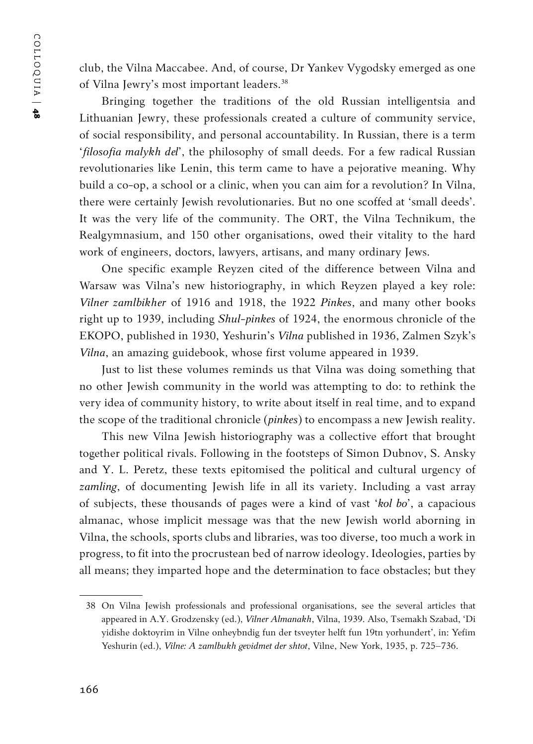club, the Vilna Maccabee. And, of course, Dr Yankev Vygodsky emerged as one of Vilna Jewry's most important leaders.38

Bringing together the traditions of the old Russian intelligentsia and Lithuanian Jewry, these professionals created a culture of community service, of social responsibility, and personal accountability. In Russian, there is a term '*filosofia malykh del*', the philosophy of small deeds. For a few radical Russian revolutionaries like Lenin, this term came to have a pejorative meaning. Why build a co-op, a school or a clinic, when you can aim for a revolution? In Vilna, there were certainly Jewish revolutionaries. But no one scoffed at 'small deeds'. It was the very life of the community. The ORT, the Vilna Technikum, the Realgymnasium, and 150 other organisations, owed their vitality to the hard work of engineers, doctors, lawyers, artisans, and many ordinary Jews.

One specific example Reyzen cited of the difference between Vilna and Warsaw was Vilna's new historiography, in which Reyzen played a key role: *Vilner zamlbikher* of 1916 and 1918, the 1922 *Pinkes*, and many other books right up to 1939, including *Shul-pinkes* of 1924, the enormous chronicle of the EKOPO, published in 1930, Yeshurin's *Vilna* published in 1936, Zalmen Szyk's *Vilna*, an amazing guidebook, whose first volume appeared in 1939.

Just to list these volumes reminds us that Vilna was doing something that no other Jewish community in the world was attempting to do: to rethink the very idea of community history, to write about itself in real time, and to expand the scope of the traditional chronicle (*pinkes*) to encompass a new Jewish reality.

This new Vilna Jewish historiography was a collective effort that brought together political rivals. Following in the footsteps of Simon Dubnov, S. Ansky and Y. L. Peretz, these texts epitomised the political and cultural urgency of *zamling*, of documenting Jewish life in all its variety. Including a vast array of subjects, these thousands of pages were a kind of vast '*kol bo*', a capacious almanac, whose implicit message was that the new Jewish world aborning in Vilna, the schools, sports clubs and libraries, was too diverse, too much a work in progress, to fit into the procrustean bed of narrow ideology. Ideologies, parties by all means; they imparted hope and the determination to face obstacles; but they

<sup>38</sup> On Vilna Jewish professionals and professional organisations, see the several articles that appeared in A.Y. Grodzensky (ed.), *Vilner Almanakh*, Vilna, 1939. Also, Tsemakh Szabad, 'Di yidishe doktoyrim in Vilne onheybndig fun der tsveyter helft fun 19tn yorhundert', in: Yefim Yeshurin (ed.), *Vilne: A zamlbukh gevidmet der shtot*, Vilne, New York, 1935, p. 725–736.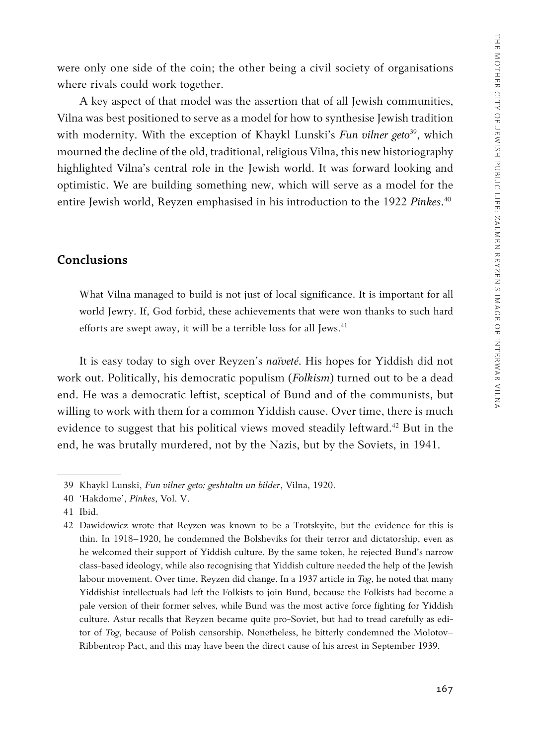were only one side of the coin; the other being a civil society of organisations where rivals could work together.

A key aspect of that model was the assertion that of all Jewish communities, Vilna was best positioned to serve as a model for how to synthesise Jewish tradition with modernity. With the exception of Khaykl Lunski's *Fun vilner geto*<sup>39</sup>, which mourned the decline of the old, traditional, religious Vilna, this new historiography highlighted Vilna's central role in the Jewish world. It was forward looking and optimistic. We are building something new, which will serve as a model for the entire Jewish world, Reyzen emphasised in his introduction to the 1922 *Pinkes*. 40

#### **Conclusions**

What Vilna managed to build is not just of local significance. It is important for all world Jewry. If, God forbid, these achievements that were won thanks to such hard efforts are swept away, it will be a terrible loss for all Jews.<sup>41</sup>

It is easy today to sigh over Reyzen's *naïveté*. His hopes for Yiddish did not work out. Politically, his democratic populism (*Folkism*) turned out to be a dead end. He was a democratic leftist, sceptical of Bund and of the communists, but willing to work with them for a common Yiddish cause. Over time, there is much evidence to suggest that his political views moved steadily leftward.<sup>42</sup> But in the end, he was brutally murdered, not by the Nazis, but by the Soviets, in 1941.

<sup>39</sup> Khaykl Lunski, *Fun vilner geto: geshtaltn un bilder*, Vilna, 1920.

<sup>40</sup> 'Hakdome', *Pinkes*, Vol. V.

<sup>41</sup> Ibid.

<sup>42</sup> Dawidowicz wrote that Reyzen was known to be a Trotskyite, but the evidence for this is thin. In 1918–1920, he condemned the Bolsheviks for their terror and dictatorship, even as he welcomed their support of Yiddish culture. By the same token, he rejected Bund's narrow class-based ideology, while also recognising that Yiddish culture needed the help of the Jewish labour movement. Over time, Reyzen did change. In a 1937 article in *Tog*, he noted that many Yiddishist intellectuals had left the Folkists to join Bund, because the Folkists had become a pale version of their former selves, while Bund was the most active force fighting for Yiddish culture. Astur recalls that Reyzen became quite pro-Soviet, but had to tread carefully as editor of *Tog*, because of Polish censorship. Nonetheless, he bitterly condemned the Molotov– Ribbentrop Pact, and this may have been the direct cause of his arrest in September 1939.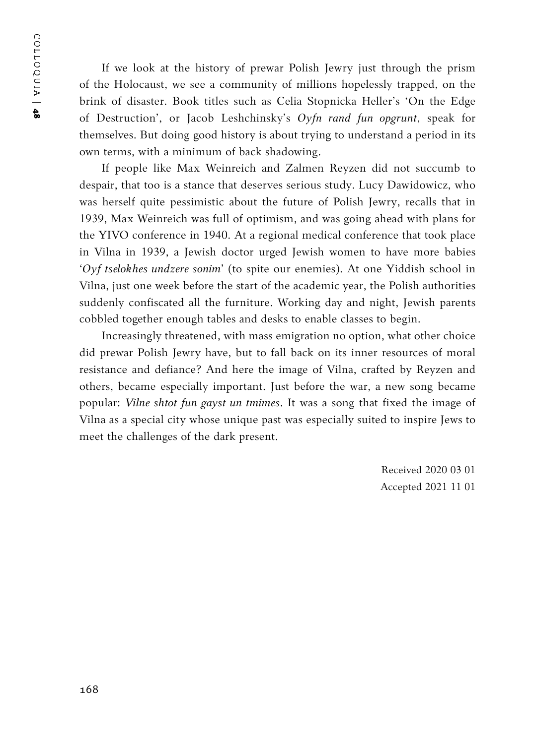COLLOQUIA | COLLOQUIA | 48

If we look at the history of prewar Polish Jewry just through the prism of the Holocaust, we see a community of millions hopelessly trapped, on the brink of disaster. Book titles such as Celia Stopnicka Heller's 'On the Edge of Destruction', or Jacob Leshchinsky's *Oyfn rand fun opgrunt*, speak for themselves. But doing good history is about trying to understand a period in its own terms, with a minimum of back shadowing.

If people like Max Weinreich and Zalmen Reyzen did not succumb to despair, that too is a stance that deserves serious study. Lucy Dawidowicz, who was herself quite pessimistic about the future of Polish Jewry, recalls that in 1939, Max Weinreich was full of optimism, and was going ahead with plans for the YIVO conference in 1940. At a regional medical conference that took place in Vilna in 1939, a Jewish doctor urged Jewish women to have more babies '*Oyf tselokhes undzere sonim*' (to spite our enemies). At one Yiddish school in Vilna, just one week before the start of the academic year, the Polish authorities suddenly confiscated all the furniture. Working day and night, Jewish parents cobbled together enough tables and desks to enable classes to begin.

Increasingly threatened, with mass emigration no option, what other choice did prewar Polish Jewry have, but to fall back on its inner resources of moral resistance and defiance? And here the image of Vilna, crafted by Reyzen and others, became especially important. Just before the war, a new song became popular: *Vilne shtot fun gayst un tmimes*. It was a song that fixed the image of Vilna as a special city whose unique past was especially suited to inspire Jews to meet the challenges of the dark present.

> Received 2020 03 01 Accepted 2021 11 01